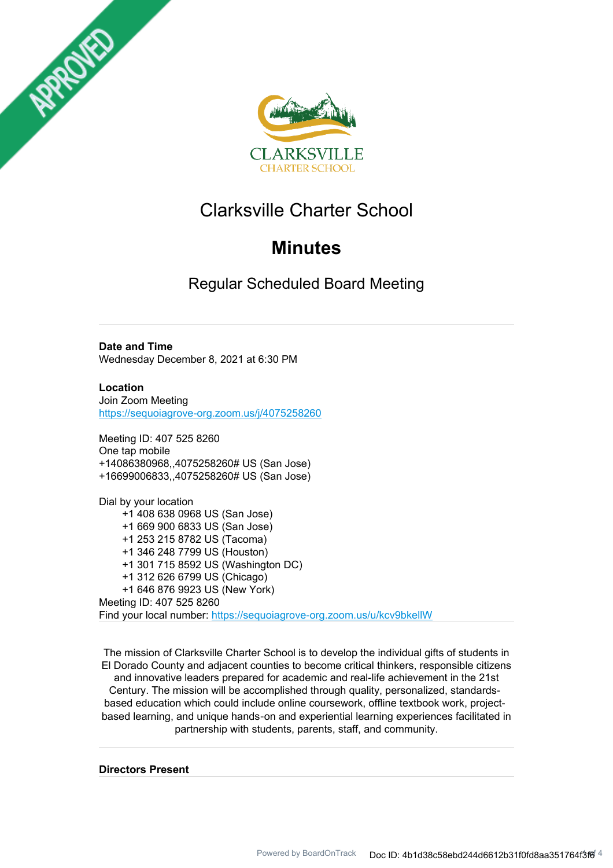



# Clarksville Charter School

# **Minutes**

Regular Scheduled Board Meeting

# **Date and Time**

Wednesday December 8, 2021 at 6:30 PM

**Location** Join Zoom Meeting https://sequoiagrove-org.zoom.us/j/4075258260

Meeting ID: 407 525 8260 One tap mobile +14086380968,,4075258260# US (San Jose) +16699006833,,4075258260# US (San Jose)

Dial by your location +1 408 638 0968 US (San Jose) +1 669 900 6833 US (San Jose) +1 253 215 8782 US (Tacoma) +1 346 248 7799 US (Houston) +1 301 715 8592 US (Washington DC) +1 312 626 6799 US (Chicago) +1 646 876 9923 US (New York) Meeting ID: 407 525 8260 Find your local number: https://sequoiagrove-org.zoom.us/u/kcv9bkellW

The mission of Clarksville Charter School is to develop the individual gifts of students in El Dorado County and adjacent counties to become critical thinkers, responsible citizens and innovative leaders prepared for academic and real-life achievement in the 21st Century. The mission will be accomplished through quality, personalized, standardsbased education which could include online coursework, offline textbook work, projectbased learning, and unique hands‐on and experiential learning experiences facilitated in partnership with students, parents, staff, and community.

**Directors Present**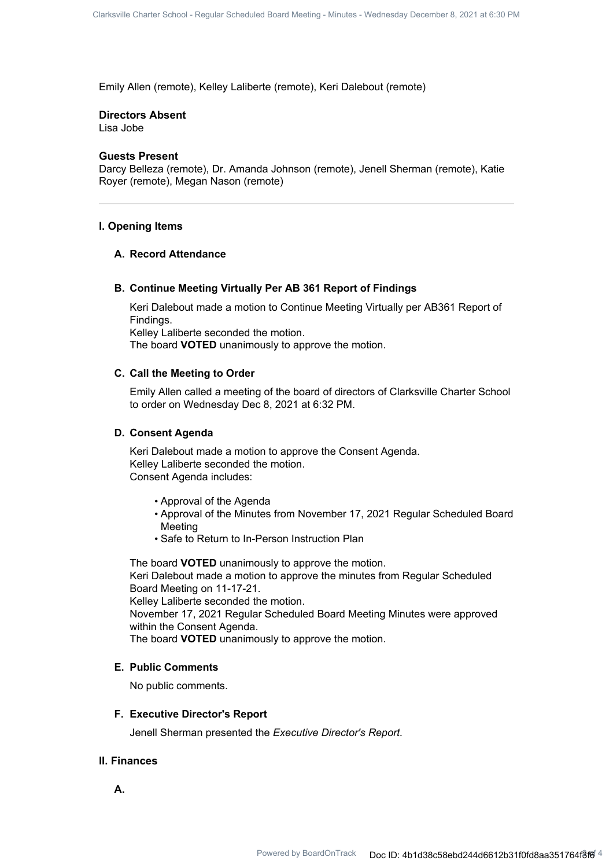Emily Allen (remote), Kelley Laliberte (remote), Keri Dalebout (remote)

#### **Directors Absent**

Lisa Jobe

#### **Guests Present**

Darcy Belleza (remote), Dr. Amanda Johnson (remote), Jenell Sherman (remote), Katie Royer (remote), Megan Nason (remote)

### **I. Opening Items**

#### **A. Record Attendance**

### **B. Continue Meeting Virtually Per AB 361 Report of Findings**

Keri Dalebout made a motion to Continue Meeting Virtually per AB361 Report of Findings. Kelley Laliberte seconded the motion. The board **VOTED** unanimously to approve the motion.

# **C. Call the Meeting to Order**

Emily Allen called a meeting of the board of directors of Clarksville Charter School to order on Wednesday Dec 8, 2021 at 6:32 PM.

### **D. Consent Agenda**

Keri Dalebout made a motion to approve the Consent Agenda. Kelley Laliberte seconded the motion. Consent Agenda includes:

- Approval of the Agenda
- Approval of the Minutes from November 17, 2021 Regular Scheduled Board Meeting
- Safe to Return to In-Person Instruction Plan

The board **VOTED** unanimously to approve the motion. Keri Dalebout made a motion to approve the minutes from Regular Scheduled Board Meeting on 11-17-21.

Kelley Laliberte seconded the motion.

November 17, 2021 Regular Scheduled Board Meeting Minutes were approved within the Consent Agenda.

The board **VOTED** unanimously to approve the motion.

#### **E. Public Comments**

No public comments.

#### **F. Executive Director's Report**

Jenell Sherman presented the *Executive Director's Report.*

# **II. Finances**

**A.**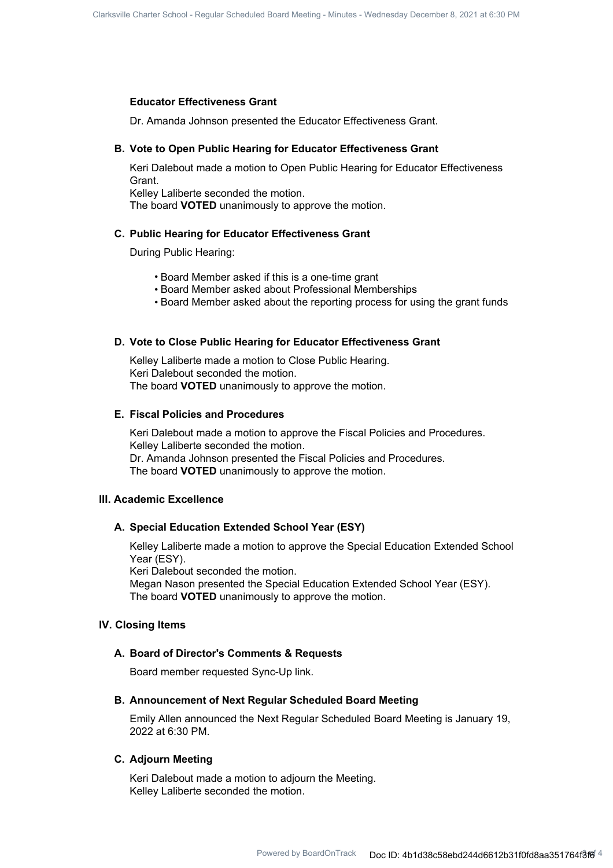#### **Educator Effectiveness Grant**

Dr. Amanda Johnson presented the Educator Effectiveness Grant.

#### **B. Vote to Open Public Hearing for Educator Effectiveness Grant**

Keri Dalebout made a motion to Open Public Hearing for Educator Effectiveness Grant.

Kelley Laliberte seconded the motion. The board **VOTED** unanimously to approve the motion.

#### **C. Public Hearing for Educator Effectiveness Grant**

During Public Hearing:

- Board Member asked if this is a one-time grant
- Board Member asked about Professional Memberships
- Board Member asked about the reporting process for using the grant funds

### **D. Vote to Close Public Hearing for Educator Effectiveness Grant**

Kelley Laliberte made a motion to Close Public Hearing. Keri Dalebout seconded the motion. The board **VOTED** unanimously to approve the motion.

#### **E. Fiscal Policies and Procedures**

Keri Dalebout made a motion to approve the Fiscal Policies and Procedures. Kelley Laliberte seconded the motion. Dr. Amanda Johnson presented the Fiscal Policies and Procedures. The board **VOTED** unanimously to approve the motion.

# **III. Academic Excellence**

# **A. Special Education Extended School Year (ESY)**

Kelley Laliberte made a motion to approve the Special Education Extended School Year (ESY).

Keri Dalebout seconded the motion.

Megan Nason presented the Special Education Extended School Year (ESY). The board **VOTED** unanimously to approve the motion.

# **IV. Closing Items**

#### **A. Board of Director's Comments & Requests**

Board member requested Sync-Up link.

### **B. Announcement of Next Regular Scheduled Board Meeting**

Emily Allen announced the Next Regular Scheduled Board Meeting is January 19, 2022 at 6:30 PM.

# **C. Adjourn Meeting**

Keri Dalebout made a motion to adjourn the Meeting. Kelley Laliberte seconded the motion.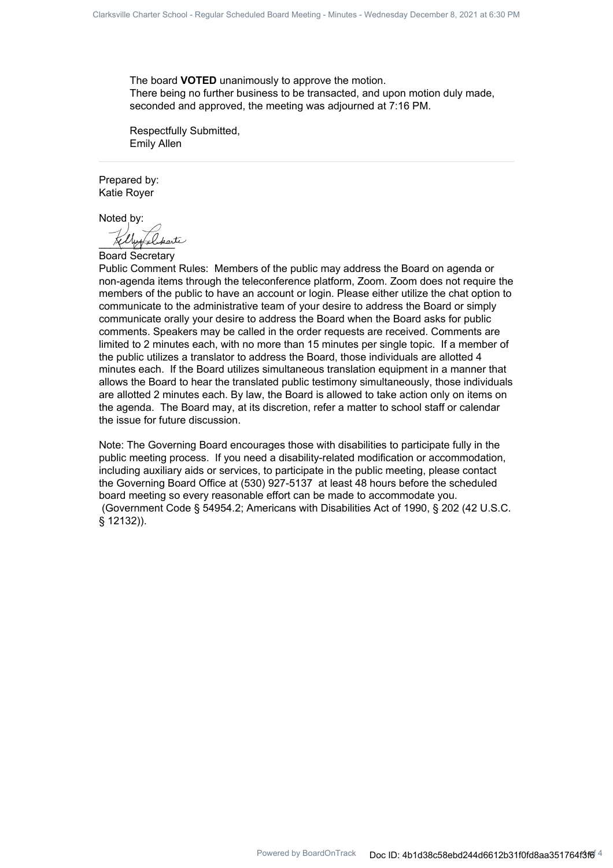The board **VOTED** unanimously to approve the motion. There being no further business to be transacted, and upon motion duly made, seconded and approved, the meeting was adjourned at 7:16 PM.

Respectfully Submitted, Emily Allen

Prepared by: Katie Royer

Noted by:

 $\mathcal{L}_{\mathit{short}}$ 

Board Secretary

Public Comment Rules: Members of the public may address the Board on agenda or non-agenda items through the teleconference platform, Zoom. Zoom does not require the members of the public to have an account or login. Please either utilize the chat option to communicate to the administrative team of your desire to address the Board or simply communicate orally your desire to address the Board when the Board asks for public comments. Speakers may be called in the order requests are received. Comments are limited to 2 minutes each, with no more than 15 minutes per single topic. If a member of the public utilizes a translator to address the Board, those individuals are allotted 4 minutes each. If the Board utilizes simultaneous translation equipment in a manner that allows the Board to hear the translated public testimony simultaneously, those individuals are allotted 2 minutes each. By law, the Board is allowed to take action only on items on the agenda. The Board may, at its discretion, refer a matter to school staff or calendar the issue for future discussion.

Note: The Governing Board encourages those with disabilities to participate fully in the public meeting process. If you need a disability-related modification or accommodation, including auxiliary aids or services, to participate in the public meeting, please contact the Governing Board Office at (530) 927-5137 at least 48 hours before the scheduled board meeting so every reasonable effort can be made to accommodate you. (Government Code § 54954.2; Americans with Disabilities Act of 1990, § 202 (42 U.S.C. § 12132)).